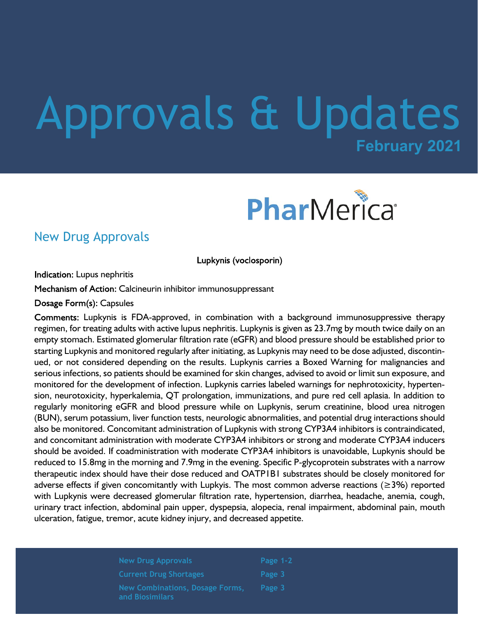# **February 2021** Approvals & Updates



### New Drug Approvals

Lupkynis (voclosporin)

Indication: Lupus nephritis

Mechanism of Action: Calcineurin inhibitor immunosuppressant

Dosage Form(s): Capsules

 Lupkynis is FDA-approved, in combination with a background immunosuppressive therapy regimen, for treating adults with active lupus nephritis. Lupkynis is given as 23.7mg by mouth twice daily on an empty stomach. Estimated glomerular filtration rate (eGFR) and blood pressure should be established prior to starting Lupkynis and monitored regularly after initiating, as Lupkynis may need to be dose adjusted, discontinued, or not considered depending on the results. Lupkynis carries a Boxed Warning for malignancies and serious infections, so patients should be examined for skin changes, advised to avoid or limit sun exposure, and monitored for the development of infection. Lupkynis carries labeled warnings for nephrotoxicity, hypertension, neurotoxicity, hyperkalemia, QT prolongation, immunizations, and pure red cell aplasia. In addition to regularly monitoring eGFR and blood pressure while on Lupkynis, serum creatinine, blood urea nitrogen (BUN), serum potassium, liver function tests, neurologic abnormalities, and potential drug interactions should also be monitored. Concomitant administration of Lupkynis with strong CYP3A4 inhibitors is contraindicated, and concomitant administration with moderate CYP3A4 inhibitors or strong and moderate CYP3A4 inducers should be avoided. If coadministration with moderate CYP3A4 inhibitors is unavoidable, Lupkynis should be reduced to 15.8mg in the morning and 7.9mg in the evening. Specific P-glycoprotein substrates with a narrow therapeutic index should have their dose reduced and OATP1B1 substrates should be closely monitored for adverse effects if given concomitantly with Lupkyis. The most common adverse reactions ( $\geq$ 3%) reported with Lupkynis were decreased glomerular filtration rate, hypertension, diarrhea, headache, anemia, cough, urinary tract infection, abdominal pain upper, dyspepsia, alopecia, renal impairment, abdominal pain, mouth ulceration, fatigue, tremor, acute kidney injury, and decreased appetite.

> **New Drug Approvals Current Drug Shortages New Combinations, Dosage Forms, and Biosimilars**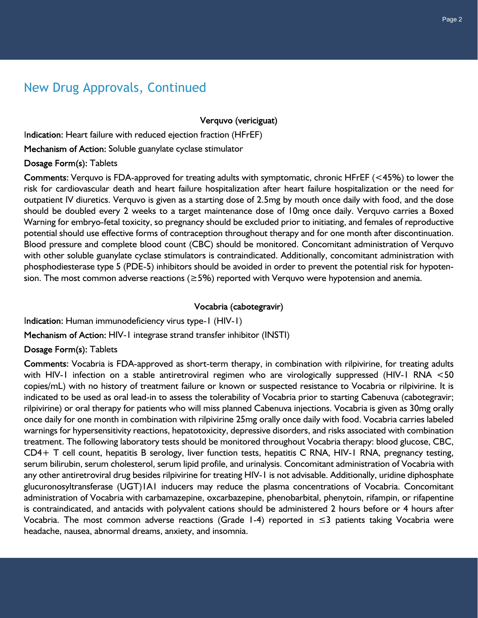## New Drug Approvals, Continued

Verquvo (vericiguat)

Indication: Heart failure with reduced ejection fraction (HFrEF)

Mechanism of Action: Soluble guanylate cyclase stimulator

Dosage Form(s): Tablets

Comments: Verquvo is FDA-approved for treating adults with symptomatic, chronic HFrEF ( $<$ 45%) to lower the risk for cardiovascular death and heart failure hospitalization after heart failure hospitalization or the need for outpatient IV diuretics. Verquvo is given as a starting dose of 2.5mg by mouth once daily with food, and the dose should be doubled every 2 weeks to a target maintenance dose of 10mg once daily. Verquvo carries a Boxed Warning for embryo-fetal toxicity, so pregnancy should be excluded prior to initiating, and females of reproductive potential should use effective forms of contraception throughout therapy and for one month after discontinuation. Blood pressure and complete blood count (CBC) should be monitored. Concomitant administration of Verquvo with other soluble guanylate cyclase stimulators is contraindicated. Additionally, concomitant administration with phosphodiesterase type 5 (PDE-5) inhibitors should be avoided in order to prevent the potential risk for hypotension. The most common adverse reactions ( $\geq$ 5%) reported with Verquvo were hypotension and anemia.

Vocabria (cabotegravir)

Indication: Human immunodeficiency virus type-1 (HIV-1)

Mechanism of Action: HIV-1 integrase strand transfer inhibitor (INSTI)

Dosage Form(s): Tablets

Comments: Vocabria is FDA-approved as short-term therapy, in combination with rilpivirine, for treating adults with HIV-1 infection on a stable antiretroviral regimen who are virologically suppressed (HIV-1 RNA <50 copies/mL) with no history of treatment failure or known or suspected resistance to Vocabria or rilpivirine. It is indicated to be used as oral lead-in to assess the tolerability of Vocabria prior to starting Cabenuva (cabotegravir; rilpivirine) or oral therapy for patients who will miss planned Cabenuva injections. Vocabria is given as 30mg orally once daily for one month in combination with rilpivirine 25mg orally once daily with food. Vocabria carries labeled warnings for hypersensitivity reactions, hepatotoxicity, depressive disorders, and risks associated with combination treatment. The following laboratory tests should be monitored throughout Vocabria therapy: blood glucose, CBC, CD4+ T cell count, hepatitis B serology, liver function tests, hepatitis C RNA, HIV-1 RNA, pregnancy testing, serum bilirubin, serum cholesterol, serum lipid profile, and urinalysis. Concomitant administration of Vocabria with any other antiretroviral drug besides rilpivirine for treating HIV-1 is not advisable. Additionally, uridine diphosphate glucuronosyltransferase (UGT)1A1 inducers may reduce the plasma concentrations of Vocabria. Concomitant administration of Vocabria with carbamazepine, oxcarbazepine, phenobarbital, phenytoin, rifampin, or rifapentine is contraindicated, and antacids with polyvalent cations should be administered 2 hours before or 4 hours after Vocabria. The most common adverse reactions (Grade 1-4) reported in ≤3 patients taking Vocabria were headache, nausea, abnormal dreams, anxiety, and insomnia.